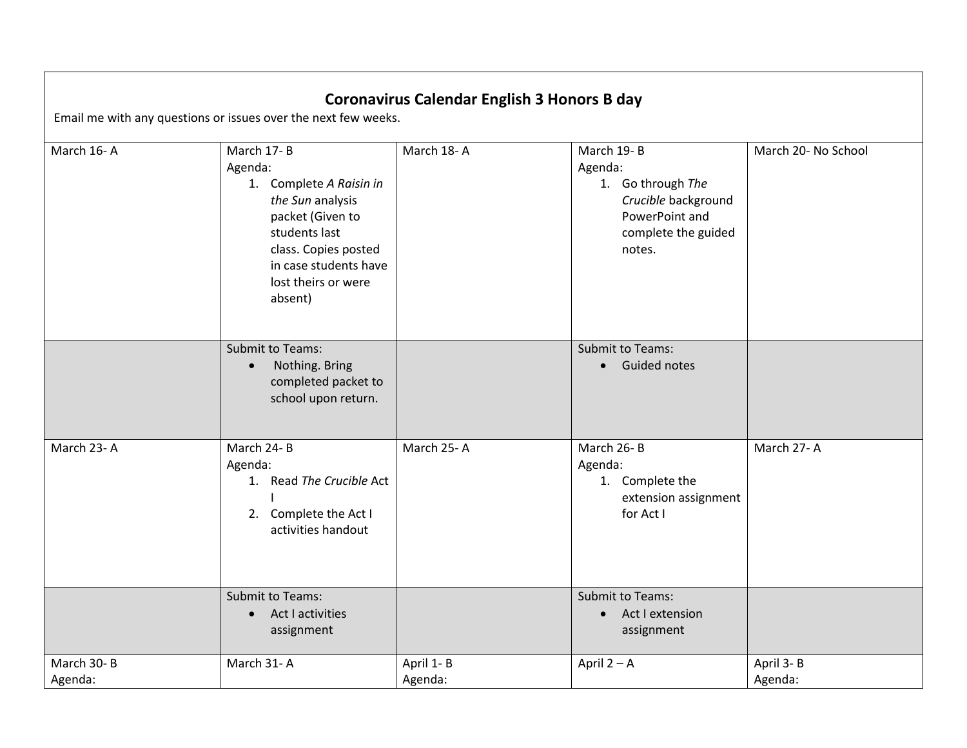## **Coronavirus Calendar English 3 Honors B day**

Email me with any questions or issues over the next few weeks.

| March 16-A            | March 17-B<br>Agenda:<br>1. Complete A Raisin in<br>the Sun analysis<br>packet (Given to<br>students last<br>class. Copies posted<br>in case students have<br>lost theirs or were<br>absent) | March 18-A           | March 19-B<br>Agenda:<br>1. Go through The<br>Crucible background<br>PowerPoint and<br>complete the guided<br>notes. | March 20- No School  |
|-----------------------|----------------------------------------------------------------------------------------------------------------------------------------------------------------------------------------------|----------------------|----------------------------------------------------------------------------------------------------------------------|----------------------|
|                       | <b>Submit to Teams:</b><br>Nothing. Bring<br>completed packet to<br>school upon return.                                                                                                      |                      | <b>Submit to Teams:</b><br><b>Guided notes</b><br>$\bullet$                                                          |                      |
| March 23-A            | March 24-B<br>Agenda:<br>1. Read The Crucible Act<br>2. Complete the Act I<br>activities handout                                                                                             | March 25-A           | March 26-B<br>Agenda:<br>1. Complete the<br>extension assignment<br>for Act I                                        | March 27-A           |
|                       | <b>Submit to Teams:</b><br>Act I activities<br>assignment                                                                                                                                    |                      | <b>Submit to Teams:</b><br>Act I extension<br>$\bullet$<br>assignment                                                |                      |
| March 30-B<br>Agenda: | March 31-A                                                                                                                                                                                   | April 1-B<br>Agenda: | April $2 - A$                                                                                                        | April 3-B<br>Agenda: |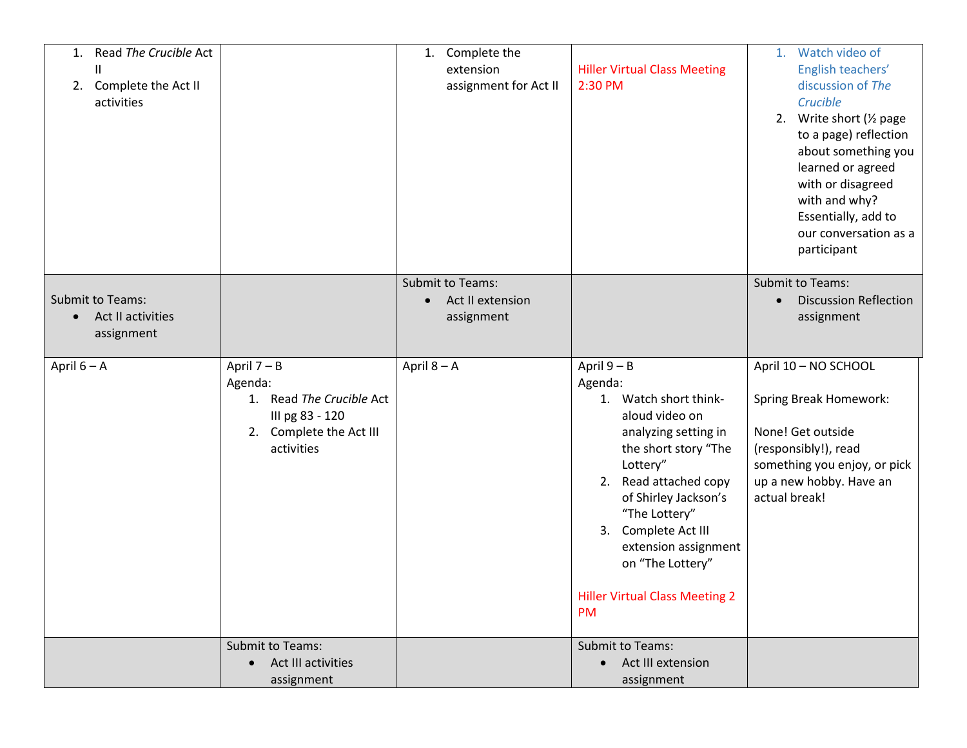| Read The Crucible Act<br>1.<br>$\mathsf{I}$<br>Complete the Act II<br>2.<br>activities |                                                                                                                  | 1. Complete the<br>extension<br>assignment for Act II                  | <b>Hiller Virtual Class Meeting</b><br>2:30 PM                                                                                                                                                                                                                                                                         | 1. Watch video of<br>English teachers'<br>discussion of The<br>Crucible<br>Write short (1/2 page<br>2.<br>to a page) reflection<br>about something you<br>learned or agreed<br>with or disagreed<br>with and why?<br>Essentially, add to<br>our conversation as a<br>participant |
|----------------------------------------------------------------------------------------|------------------------------------------------------------------------------------------------------------------|------------------------------------------------------------------------|------------------------------------------------------------------------------------------------------------------------------------------------------------------------------------------------------------------------------------------------------------------------------------------------------------------------|----------------------------------------------------------------------------------------------------------------------------------------------------------------------------------------------------------------------------------------------------------------------------------|
| <b>Submit to Teams:</b><br>Act II activities<br>assignment                             |                                                                                                                  | <b>Submit to Teams:</b><br>Act II extension<br>$\bullet$<br>assignment |                                                                                                                                                                                                                                                                                                                        | Submit to Teams:<br><b>Discussion Reflection</b><br>$\bullet$<br>assignment                                                                                                                                                                                                      |
| April $6 - A$                                                                          | April $7 - B$<br>Agenda:<br>1. Read The Crucible Act<br>III pg 83 - 120<br>2. Complete the Act III<br>activities | April $8 - A$                                                          | April $9 - B$<br>Agenda:<br>1. Watch short think-<br>aloud video on<br>analyzing setting in<br>the short story "The<br>Lottery"<br>2. Read attached copy<br>of Shirley Jackson's<br>"The Lottery"<br>Complete Act III<br>3.<br>extension assignment<br>on "The Lottery"<br><b>Hiller Virtual Class Meeting 2</b><br>PM | April 10 - NO SCHOOL<br>Spring Break Homework:<br>None! Get outside<br>(responsibly!), read<br>something you enjoy, or pick<br>up a new hobby. Have an<br>actual break!                                                                                                          |
|                                                                                        | Submit to Teams:<br>Act III activities<br>assignment                                                             |                                                                        | Submit to Teams:<br>Act III extension<br>$\bullet$<br>assignment                                                                                                                                                                                                                                                       |                                                                                                                                                                                                                                                                                  |